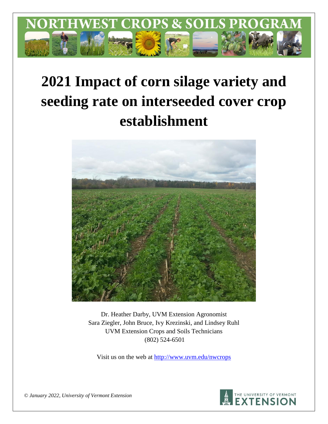

# **2021 Impact of corn silage variety and seeding rate on interseeded cover crop establishment**



Dr. Heather Darby, UVM Extension Agronomist Sara Ziegler, John Bruce, Ivy Krezinski, and Lindsey Ruhl UVM Extension Crops and Soils Technicians (802) 524-6501

Visit us on the web at <http://www.uvm.edu/nwcrops>



*© January 2022, University of Vermont Extension*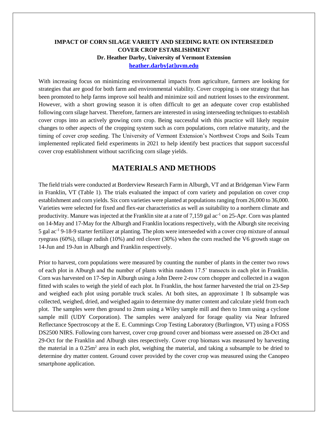### **IMPACT OF CORN SILAGE VARIETY AND SEEDING RATE ON INTERSEEDED COVER CROP ESTABLISHMENT Dr. Heather Darby, University of Vermont Extension [heather.darby\[at\]uvm.edu](mailto:heather.darby@uvm.edu?subject=2013%20Long%20Season%20Corn%20Report)**

With increasing focus on minimizing environmental impacts from agriculture, farmers are looking for strategies that are good for both farm and environmental viability. Cover cropping is one strategy that has been promoted to help farms improve soil health and minimize soil and nutrient losses to the environment. However, with a short growing season it is often difficult to get an adequate cover crop established following corn silage harvest. Therefore, farmers are interested in using interseeding techniques to establish cover crops into an actively growing corn crop. Being successful with this practice will likely require changes to other aspects of the cropping system such as corn populations, corn relative maturity, and the timing of cover crop seeding. The University of Vermont Extension's Northwest Crops and Soils Team implemented replicated field experiments in 2021 to help identify best practices that support successful cover crop establishment without sacrificing corn silage yields.

# **MATERIALS AND METHODS**

The field trials were conducted at Borderview Research Farm in Alburgh, VT and at Bridgeman View Farm in Franklin, VT (Table 1). The trials evaluated the impact of corn variety and population on cover crop establishment and corn yields. Six corn varieties were planted at populations ranging from 26,000 to 36,000. Varieties were selected for fixed and flex-ear characteristics as well as suitability to a northern climate and productivity. Manure was injected at the Franklin site at a rate of 7,159 gal ac-1 on 25-Apr. Corn was planted on 14-May and 17-May for the Alburgh and Franklin locations respectively, with the Alburgh site receiving 5 gal ac-1 9-18-9 starter fertilizer at planting. The plots were interseeded with a cover crop mixture of annual ryegrass (60%), tillage radish (10%) and red clover (30%) when the corn reached the V6 growth stage on 14-Jun and 19-Jun in Alburgh and Franklin respectively.

Prior to harvest, corn populations were measured by counting the number of plants in the center two rows of each plot in Alburgh and the number of plants within random 17.5' transects in each plot in Franklin. Corn was harvested on 17-Sep in Alburgh using a John Deere 2-row corn chopper and collected in a wagon fitted with scales to weigh the yield of each plot. In Franklin, the host farmer harvested the trial on 23-Sep and weighed each plot using portable truck scales. At both sites, an approximate 1 lb subsample was collected, weighed, dried, and weighed again to determine dry matter content and calculate yield from each plot. The samples were then ground to 2mm using a Wiley sample mill and then to 1mm using a cyclone sample mill (UDY Corporation). The samples were analyzed for forage quality via Near Infrared Reflectance Spectroscopy at the E. E. Cummings Crop Testing Laboratory (Burlington, VT) using a FOSS DS2500 NIRS. Following corn harvest, cover crop ground cover and biomass were assessed on 28-Oct and 29-Oct for the Franklin and Alburgh sites respectively. Cover crop biomass was measured by harvesting the material in a  $0.25m<sup>2</sup>$  area in each plot, weighing the material, and taking a subsample to be dried to determine dry matter content. Ground cover provided by the cover crop was measured using the Canopeo smartphone application.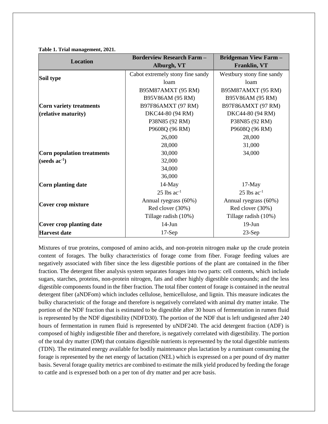|                                   | <b>Borderview Research Farm -</b> | <b>Bridgeman View Farm -</b> |
|-----------------------------------|-----------------------------------|------------------------------|
| <b>Location</b>                   | Alburgh, VT                       | <b>Franklin, VT</b>          |
|                                   | Cabot extremely stony fine sandy  | Westbury stony fine sandy    |
| Soil type                         | loam                              | loam                         |
|                                   | B95M87AMXT (95 RM)                | B95M87AMXT (95 RM)           |
|                                   | B95V86AM (95 RM)                  | B95V86AM (95 RM)             |
| <b>Corn variety treatments</b>    | B97F86AMXT (97 RM)                | B97F86AMXT (97 RM)           |
| (relative maturity)               | DKC44-80 (94 RM)                  | DKC44-80 (94 RM)             |
|                                   | P38N85 (92 RM)                    | P38N85 (92 RM)               |
|                                   | P9608Q (96 RM)                    | P9608Q (96 RM)               |
|                                   | 26,000                            | 28,000                       |
|                                   | 28,000                            | 31,000                       |
| <b>Corn population treatments</b> | 30,000                            | 34,000                       |
| (seeds $ac^{-1}$ )                | 32,000                            |                              |
|                                   | 34,000                            |                              |
|                                   | 36,000                            |                              |
| Corn planting date                | $14$ -May                         | $17-May$                     |
|                                   | $25$ lbs ac <sup>-1</sup>         | $25$ lbs $ac^{-1}$           |
|                                   | Annual ryegrass (60%)             | Annual ryegrass (60%)        |
| Cover crop mixture                | Red clover (30%)                  | Red clover (30%)             |
|                                   | Tillage radish (10%)              | Tillage radish (10%)         |
| Cover crop planting date          | $14$ -Jun                         | $19-J$ un                    |
| <b>Harvest date</b>               | $17-Sep$                          | $23-Sep$                     |

**Table 1. Trial management, 2021.**

Mixtures of true proteins, composed of amino acids, and non-protein nitrogen make up the crude protein content of forages. The bulky characteristics of forage come from fiber. Forage feeding values are negatively associated with fiber since the less digestible portions of the plant are contained in the fiber fraction. The detergent fiber analysis system separates forages into two parts: cell contents, which include sugars, starches, proteins, non-protein nitrogen, fats and other highly digestible compounds; and the less digestible components found in the fiber fraction. The total fiber content of forage is contained in the neutral detergent fiber (aNDFom) which includes cellulose, hemicellulose, and lignin. This measure indicates the bulky characteristic of the forage and therefore is negatively correlated with animal dry matter intake. The portion of the NDF fraction that is estimated to be digestible after 30 hours of fermentation in rumen fluid is represented by the NDF digestibility (NDFD30). The portion of the NDF that is left undigested after 240 hours of fermentation in rumen fluid is represented by uNDF240. The acid detergent fraction (ADF) is composed of highly indigestible fiber and therefore, is negatively correlated with digestibility. The portion of the total dry matter (DM) that contains digestible nutrients is represented by the total digestible nutrients (TDN). The estimated energy available for bodily maintenance plus lactation by a ruminant consuming the forage is represented by the net energy of lactation (NEL) which is expressed on a per pound of dry matter basis. Several forage quality metrics are combined to estimate the milk yield produced by feeding the forage to cattle and is expressed both on a per ton of dry matter and per acre basis.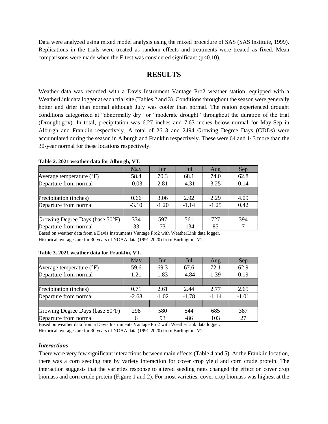Data were analyzed using mixed model analysis using the mixed procedure of SAS (SAS Institute, 1999). Replications in the trials were treated as random effects and treatments were treated as fixed. Mean comparisons were made when the F-test was considered significant  $(p<0.10)$ .

## **RESULTS**

Weather data was recorded with a Davis Instrument Vantage Pro2 weather station, equipped with a WeatherLink data logger at each trial site (Tables 2 and 3). Conditions throughout the season were generally hotter and drier than normal although July was cooler than normal. The region experienced drought conditions categorized at "abnormally dry" or "moderate drought" throughout the duration of the trial (Drought.gov). In total, precipitation was 6.27 inches and 7.63 inches below normal for May-Sep in Alburgh and Franklin respectively. A total of 2613 and 2494 Growing Degree Days (GDDs) were accumulated during the season in Alburgh and Franklin respectively. These were 64 and 143 more than the 30-year normal for these locations respectively.

|                                   | <b>May</b> | Jun     | Jul     | Aug     | Sep  |
|-----------------------------------|------------|---------|---------|---------|------|
| Average temperature $(^{\circ}F)$ | 58.4       | 70.3    | 68.1    | 74.0    | 62.8 |
| Departure from normal             | $-0.03$    | 2.81    | $-4.31$ | 3.25    | 0.14 |
|                                   |            |         |         |         |      |
| Precipitation (inches)            | 0.66       | 3.06    | 2.92    | 2.29    | 4.09 |
| Departure from normal             | $-3.10$    | $-1.20$ | $-1.14$ | $-1.25$ | 0.42 |
|                                   |            |         |         |         |      |
| Growing Degree Days (base 50°F)   | 334        | 597     | 561     | 727     | 394  |
| Departure from normal             | 33         | 73      | $-134$  | 85      |      |

**Table 2. 2021 weather data for Alburgh, VT.**

Based on weather data from a Davis Instruments Vantage Pro2 with WeatherLink data logger. Historical averages are for 30 years of NOAA data (1991-2020) from Burlington, VT.

#### **Table 3. 2021 weather data for Franklin, VT.**

|                                   | May     | Jun     | Jul     | Aug     | Sep     |
|-----------------------------------|---------|---------|---------|---------|---------|
| Average temperature $(^{\circ}F)$ | 59.6    | 69.3    | 67.6    | 72.1    | 62.9    |
| Departure from normal             | 1.21    | 1.83    | $-4.84$ | 1.39    | 0.19    |
|                                   |         |         |         |         |         |
| Precipitation (inches)            | 0.71    | 2.61    | 2.44    | 2.77    | 2.65    |
| Departure from normal             | $-2.68$ | $-1.02$ | $-1.78$ | $-1.14$ | $-1.01$ |
|                                   |         |         |         |         |         |
| Growing Degree Days (base 50°F)   | 298     | 580     | 544     | 685     | 387     |
| Departure from normal             |         | 93      | -86     | 103     | 27      |

Based on weather data from a Davis Instruments Vantage Pro2 with WeatherLink data logger. Historical averages are for 30 years of NOAA data (1991-2020) from Burlington, VT.

#### *Interactions*

There were very few significant interactions between main effects (Table 4 and 5). At the Franklin location, there was a corn seeding rate by variety interaction for cover crop yield and corn crude protein. The interaction suggests that the varieties response to altered seeding rates changed the effect on cover crop biomass and corn crude protein (Figure 1 and 2). For most varieties, cover crop biomass was highest at the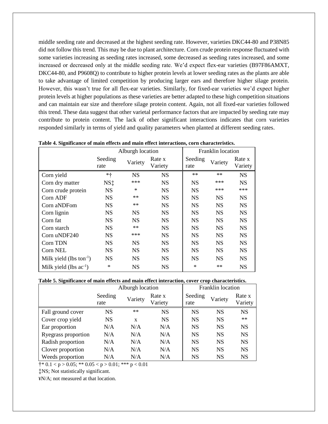middle seeding rate and decreased at the highest seeding rate. However, varieties DKC44-80 and P38N85 did not follow this trend. This may be due to plant architecture. Corn crude protein response fluctuated with some varieties increasing as seeding rates increased, some decreased as seeding rates increased, and some increased or decreased only at the middle seeding rate. We'd expect flex-ear varieties (B97F86AMXT, DKC44-80, and P9608Q) to contribute to higher protein levels at lower seeding rates as the plants are able to take advantage of limited competition by producing larger ears and therefore higher silage protein. However, this wasn't true for all flex-ear varieties. Similarly, for fixed-ear varieties we'd expect higher protein levels at higher populations as these varieties are better adapted to these high competition situations and can maintain ear size and therefore silage protein content. Again, not all fixed-ear varieties followed this trend. These data suggest that other varietal performance factors that are impacted by seeding rate may contribute to protein content. The lack of other significant interactions indicates that corn varieties responded similarly in terms of yield and quality parameters when planted at different seeding rates.

|                               |                 | Alburgh location |                   | Franklin location |           |                   |  |
|-------------------------------|-----------------|------------------|-------------------|-------------------|-----------|-------------------|--|
|                               | Seeding<br>rate | Variety          | Rate x<br>Variety | Seeding<br>rate   | Variety   | Rate x<br>Variety |  |
| Corn yield                    | $* +$           | <b>NS</b>        | <b>NS</b>         | $**$              | $**$      | <b>NS</b>         |  |
| Corn dry matter               | NS <sup>t</sup> | ***              | <b>NS</b>         | <b>NS</b>         | ***       | <b>NS</b>         |  |
| Corn crude protein            | NS.             | $\ast$           | <b>NS</b>         | <b>NS</b>         | ***       | ***               |  |
| Corn ADF                      | <b>NS</b>       | $**$             | <b>NS</b>         | <b>NS</b>         | <b>NS</b> | <b>NS</b>         |  |
| Corn aNDFom                   | <b>NS</b>       | $**$             | <b>NS</b>         | <b>NS</b>         | <b>NS</b> | <b>NS</b>         |  |
| Corn lignin                   | <b>NS</b>       | <b>NS</b>        | <b>NS</b>         | <b>NS</b>         | <b>NS</b> | <b>NS</b>         |  |
| Corn fat                      | <b>NS</b>       | <b>NS</b>        | <b>NS</b>         | <b>NS</b>         | <b>NS</b> | <b>NS</b>         |  |
| Corn starch                   | <b>NS</b>       | $**$             | <b>NS</b>         | <b>NS</b>         | <b>NS</b> | <b>NS</b>         |  |
| Corn uNDF240                  | <b>NS</b>       | ***              | <b>NS</b>         | NS                | <b>NS</b> | <b>NS</b>         |  |
| Corn TDN                      | <b>NS</b>       | <b>NS</b>        | <b>NS</b>         | <b>NS</b>         | <b>NS</b> | <b>NS</b>         |  |
| Corn NEL                      | <b>NS</b>       | <b>NS</b>        | <b>NS</b>         | <b>NS</b>         | <b>NS</b> | <b>NS</b>         |  |
| Milk yield (lbs ton $^{-1}$ ) | <b>NS</b>       | <b>NS</b>        | <b>NS</b>         | <b>NS</b>         | <b>NS</b> | <b>NS</b>         |  |
| Milk yield (lbs $ac^{-1}$ )   | $\ast$          | <b>NS</b>        | <b>NS</b>         | $\ast$            | **        | <b>NS</b>         |  |

| Table 4. Significance of main effects and main effect interactions, corn characteristics. |  |  |  |  |  |  |  |
|-------------------------------------------------------------------------------------------|--|--|--|--|--|--|--|
|-------------------------------------------------------------------------------------------|--|--|--|--|--|--|--|

#### **Table 5. Significance of main effects and main effect interaction, cover crop characteristics.**

|                     |                 | Alburgh location |                   |                 | Franklin location |                   |
|---------------------|-----------------|------------------|-------------------|-----------------|-------------------|-------------------|
|                     | Seeding<br>rate | Variety          | Rate x<br>Variety | Seeding<br>rate | Variety           | Rate x<br>Variety |
| Fall ground cover   | <b>NS</b>       | $**$             | <b>NS</b>         | <b>NS</b>       | <b>NS</b>         | <b>NS</b>         |
| Cover crop yield    | <b>NS</b>       | $\mathbf x$      | <b>NS</b>         | <b>NS</b>       | <b>NS</b>         | $**$              |
| Ear proportion      | N/A             | N/A              | N/A               | <b>NS</b>       | <b>NS</b>         | <b>NS</b>         |
| Ryegrass proportion | N/A             | N/A              | N/A               | <b>NS</b>       | <b>NS</b>         | <b>NS</b>         |
| Radish proportion   | N/A             | N/A              | N/A               | <b>NS</b>       | <b>NS</b>         | <b>NS</b>         |
| Clover proportion   | N/A             | N/A              | N/A               | <b>NS</b>       | <b>NS</b>         | <b>NS</b>         |
| Weeds proportion    | N/A             | N/A              | N/A               | <b>NS</b>       | <b>NS</b>         | <b>NS</b>         |

 $\dagger$ \* 0.1 < p > 0.05; \*\* 0.05 < p > 0.01; \*\*\* p < 0.01

‡NS; Not statistically significant.

¥N/A; not measured at that location.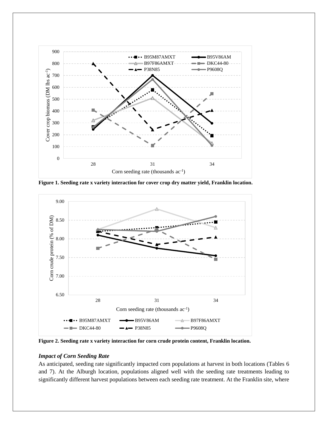

**Figure 1. Seeding rate x variety interaction for cover crop dry matter yield, Franklin location.**



**Figure 2. Seeding rate x variety interaction for corn crude protein content, Franklin location.**

#### *Impact of Corn Seeding Rate*

As anticipated, seeding rate significantly impacted corn populations at harvest in both locations (Tables 6 and 7). At the Alburgh location, populations aligned well with the seeding rate treatments leading to significantly different harvest populations between each seeding rate treatment. At the Franklin site, where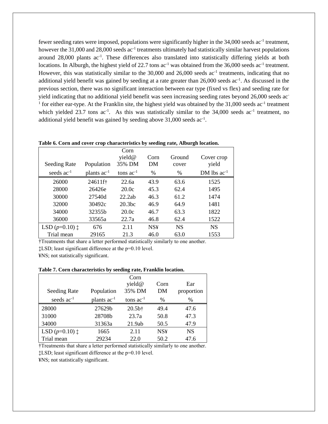fewer seeding rates were imposed, populations were significantly higher in the 34,000 seeds ac<sup>-1</sup> treatment, however the 31,000 and 28,000 seeds ac<sup>-1</sup> treatments ultimately had statistically similar harvest populations around 28,000 plants ac<sup>-1</sup>. These differences also translated into statistically differing yields at both locations. In Alburgh, the highest yield of 22.7 tons ac<sup>-1</sup> was obtained from the 36,000 seeds ac<sup>-1</sup> treatment. However, this was statistically similar to the 30,000 and 26,000 seeds ac<sup>-1</sup> treatments, indicating that no additional yield benefit was gained by seeding at a rate greater than 26,000 seeds ac<sup>-1</sup>. As discussed in the previous section, there was no significant interaction between ear type (fixed vs flex) and seeding rate for yield indicating that no additional yield benefit was seen increasing seeding rates beyond 26,000 seeds ac-<sup>1</sup> for either ear-type. At the Franklin site, the highest yield was obtained by the  $31,000$  seeds ac<sup>-1</sup> treatment which yielded 23.7 tons  $ac^{-1}$ . As this was statistically similar to the 34,000 seeds  $ac^{-1}$  treatment, no additional yield benefit was gained by seeding above 31,000 seeds ac<sup>-1</sup>.

| Tuble of Corn and cover erop enuracteristics by security rute, rubbi gli focultoni |                  |                    |            |           |                  |
|------------------------------------------------------------------------------------|------------------|--------------------|------------|-----------|------------------|
|                                                                                    |                  | Corn               |            |           |                  |
|                                                                                    |                  | yield@             | Corn       | Ground    | Cover crop       |
| <b>Seeding Rate</b>                                                                | Population       | 35% DM             | DM         | cover     | yield            |
| seeds $ac^{-1}$                                                                    | plants $ac^{-1}$ | tons $ac^{-1}$     | %          | %         | DM lbs $ac^{-1}$ |
| 26000                                                                              | 24611ft          | 22.6a              | 43.9       | 63.6      | 1525             |
| 28000                                                                              | 26426e           | 20.0c              | 45.3       | 62.4      | 1495             |
| 30000                                                                              | 27540d           | 22.2ab             | 46.3       | 61.2      | 1474             |
| 32000                                                                              | 30492c           | 20.3 <sub>bc</sub> | 46.9       | 64.9      | 1481             |
| 34000                                                                              | 32355b           | 20.0c              | 46.7       | 63.3      | 1822             |
| 36000                                                                              | 33565a           | 22.7a              | 46.8       | 62.4      | 1522             |
| LSD $(p=0.10)$ $\ddagger$                                                          | 676              | 2.11               | <b>NS¥</b> | <b>NS</b> | <b>NS</b>        |
| Trial mean                                                                         | 29165            | 21.3               | 46.0       | 63.0      | 1553             |

**Table 6. Corn and cover crop characteristics by seeding rate, Alburgh location.**

†Treatments that share a letter performed statistically similarly to one another.

‡LSD; least significant difference at the p=0.10 level.

¥NS; not statistically significant.

**Table 7. Corn characteristics by seeding rate, Franklin location.**

|                           |                  | Corn<br>yield@    | Corn       | Ear        |
|---------------------------|------------------|-------------------|------------|------------|
| Seeding Rate              | Population       | 35% DM            | DM         | proportion |
| seeds $ac^{-1}$           | plants $ac^{-1}$ | tons $ac^{-1}$    | $\%$       | $\%$       |
| 28000                     | 27629b           | 20.5 <sup>†</sup> | 49.4       | 47.6       |
| 31000                     | 28708b           | 23.7a             | 50.8       | 47.3       |
| 34000                     | 31363a           | 21.9ab            | 50.5       | 47.9       |
| LSD $(p=0.10)$ $\ddagger$ | 1665             | 2.11              | <b>NS¥</b> | <b>NS</b>  |
| Trial mean                | 29234            | 22.0              | 50.2       | 47.6       |

†Treatments that share a letter performed statistically similarly to one another.

‡LSD; least significant difference at the p=0.10 level.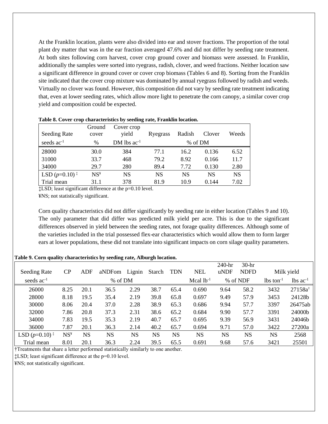At the Franklin location, plants were also divided into ear and stover fractions. The proportion of the total plant dry matter that was in the ear fraction averaged 47.6% and did not differ by seeding rate treatment. At both sites following corn harvest, cover crop ground cover and biomass were assessed. In Franklin, additionally the samples were sorted into ryegrass, radish, clover, and weed fractions. Neither location saw a significant difference in ground cover or cover crop biomass (Tables 6 and 8). Sorting from the Franklin site indicated that the cover crop mixture was dominated by annual ryegrass followed by radish and weeds. Virtually no clover was found. However, this composition did not vary by seeding rate treatment indicating that, even at lower seeding rates, which allow more light to penetrate the corn canopy, a similar cover crop yield and composition could be expected.

| Seeding Rate                                    | Ground<br>cover | Cover crop<br>yield | Ryegrass | Radish    | Clover    | Weeds     |
|-------------------------------------------------|-----------------|---------------------|----------|-----------|-----------|-----------|
| seeds ac <sup>-1</sup>                          | %               | DM lbs $ac^{-1}$    |          | % of DM   |           |           |
| 28000                                           | 30.0            | 384                 | 77.1     | 16.2      | 0.136     | 6.52      |
| 31000                                           | 33.7            | 468                 | 79.2     | 8.92      | 0.166     | 11.7      |
| 34000                                           | 29.7            | 280                 | 89.4     | 7.72      | 0.130     | 2.80      |
| LSD $(p=0.10)$ <sup><math>\ddagger</math></sup> | $NS\gamma$      | NS                  | NS       | <b>NS</b> | <b>NS</b> | <b>NS</b> |
| Trial mean                                      | 31.1            | 378                 | 81.9     | 10.9      | 0.144     | 7.02      |

**Table 8. Cover crop characteristics by seeding rate, Franklin location.**

‡LSD; least significant difference at the p=0.10 level.

¥NS; not statistically significant.

Corn quality characteristics did not differ significantly by seeding rate in either location (Tables 9 and 10). The only parameter that did differ was predicted milk yield per acre. This is due to the significant differences observed in yield between the seeding rates, not forage quality differences. Although some of the varieties included in the trial possessed flex-ear characteristics which would allow them to form larger ears at lower populations, these did not translate into significant impacts on corn silage quality parameters.

#### **Table 9. Corn quality characteristics by seeding rate, Alburgh location.**

|                                                 |                 |           |           |           |           |            |                | 240-hr    | $30-hr$     |                         |                        |
|-------------------------------------------------|-----------------|-----------|-----------|-----------|-----------|------------|----------------|-----------|-------------|-------------------------|------------------------|
| <b>Seeding Rate</b>                             | $\rm CP$        | ADF       | aNDFom    | Lignin    | Starch    | <b>TDN</b> | <b>NEL</b>     | uNDF      | <b>NDFD</b> |                         | Milk yield             |
| seeds $ac^{-1}$                                 | % of DM         |           |           |           |           |            | Mcal $lb^{-1}$ |           | % of NDF    | $lbs$ ton <sup>-1</sup> | $lbs$ ac <sup>-1</sup> |
| 26000                                           | 8.25            | 20.1      | 36.5      | 2.29      | 38.7      | 65.4       | 0.690          | 9.64      | 58.2        | 3432                    | 27158at                |
| 28000                                           | 8.18            | 19.5      | 35.4      | 2.19      | 39.8      | 65.8       | 0.697          | 9.49      | 57.9        | 3453                    | 24128b                 |
| 30000                                           | 8.06            | 20.4      | 37.0      | 2.28      | 38.9      | 65.3       | 0.686          | 9.94      | 57.7        | 3397                    | 26475ab                |
| 32000                                           | 7.86            | 20.8      | 37.3      | 2.31      | 38.6      | 65.2       | 0.684          | 9.90      | 57.7        | 3391                    | 24000b                 |
| 34000                                           | 7.83            | 19.5      | 35.3      | 2.19      | 40.7      | 65.7       | 0.695          | 9.39      | 56.9        | 3431                    | 24046b                 |
| 36000                                           | 7.87            | 20.1      | 36.3      | 2.14      | 40.2      | 65.7       | 0.694          | 9.71      | 57.0        | 3422                    | 27200a                 |
| LSD $(p=0.10)$ <sup><math>\ddagger</math></sup> | NS <sup>Y</sup> | <b>NS</b> | <b>NS</b> | <b>NS</b> | <b>NS</b> | <b>NS</b>  | <b>NS</b>      | <b>NS</b> | <b>NS</b>   | <b>NS</b>               | 2568                   |
| Trial mean                                      | 8.01            | 20.1      | 36.3      | 2.24      | 39.5      | 65.5       | 0.691          | 9.68      | 57.6        | 3421                    | 25501                  |

†Treatments that share a letter performed statistically similarly to one another.

‡LSD; least significant difference at the p=0.10 level.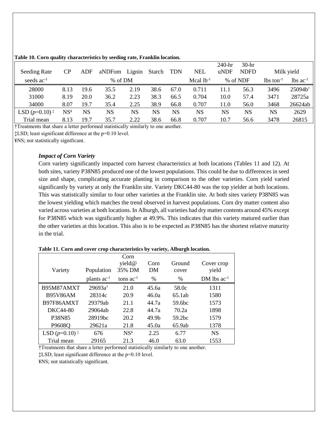| <b>Seeding Rate</b>                             | $\rm CP$                 | ADF       | aNDFom | Lignin | Starch | <b>TDN</b> | <b>NEL</b>     | 240-hr<br>uNDF | $30-hr$<br><b>NDFD</b> |                         | Milk yield             |
|-------------------------------------------------|--------------------------|-----------|--------|--------|--------|------------|----------------|----------------|------------------------|-------------------------|------------------------|
| seeds $ac^{-1}$                                 | % of DM                  |           |        |        |        |            | Mcal $1b^{-1}$ |                | % of NDF               | $lbs$ ton <sup>-1</sup> | $lbs$ ac <sup>-1</sup> |
| 28000                                           | 8.13                     | 19.6      | 35.5   | 2.19   | 38.6   | 67.0       | 0.711          | 11.1           | 56.3                   | 3496                    | 25094b <sup>t</sup>    |
| 31000                                           | 8.19                     | 20.0      | 36.2   | 2.23   | 38.3   | 66.5       | 0.704          | 10.0           | 57.4                   | 3471                    | 28725a                 |
| 34000                                           | 8.07                     | 19.7      | 35.4   | 2.25   | 38.9   | 66.8       | 0.707          | 11.0           | 56.0                   | 3468                    | 26624ab                |
| LSD $(p=0.10)$ <sup><math>\ddagger</math></sup> | $\mathrm{NS}^\texttt{y}$ | <b>NS</b> | NS     | NS     | NS     | NS         | NS             | NS             | NS                     | NS                      | 2629                   |
| Trial mean                                      | 8.13                     | 19.7      | 35.7   | 2.22   | 38.6   | 66.8       | 0.707          | 10.7           | 56.6                   | 3478                    | 26815                  |

#### **Table 10. Corn quality characteristics by seeding rate, Franklin location.**

†Treatments that share a letter performed statistically similarly to one another.

‡LSD; least significant difference at the p=0.10 level.

¥NS; not statistically significant.

#### *Impact of Corn Variety*

Corn variety significantly impacted corn harvest characteristics at both locations (Tables 11 and 12). At both sites, variety P38N85 produced one of the lowest populations. This could be due to differences in seed size and shape, complicating accurate planting in comparison to the other varieties. Corn yield varied significantly by variety at only the Franklin site. Variety DKC44-80 was the top yielder at both locations. This was statistically similar to four other varieties at the Franklin site. At both sites variety P38N85 was the lowest yielding which matches the trend observed in harvest populations. Corn dry matter content also varied across varieties at both locations. In Alburgh, all varieties had dry matter contents around 45% except for P38N85 which was significantly higher at 49.9%. This indicates that this variety matured earlier than the other varieties at this location. This also is to be expected as P38N85 has the shortest relative maturity in the trial.

| Variety                                         | Population          | Corn<br>yield@<br>35% DM | Corn<br>DM        | Ground<br>cover    | Cover crop<br>yield |
|-------------------------------------------------|---------------------|--------------------------|-------------------|--------------------|---------------------|
|                                                 | plants $ac^{-1}$    | tons $ac^{-1}$           | %                 | $\%$               | DM lbs $ac^{-1}$    |
| B95M87AMXT                                      | $29693a^{\dagger}$  | 21.0                     | 45.6a             | 58.0c              | 1311                |
| <b>B95V86AM</b>                                 | 28314c              | 20.9                     | 46.0a             | 65.1ab             | 1580                |
| B97F86AMXT                                      | 29379ab             | 21.1                     | 44.7a             | 59.6 <sub>bc</sub> | 1573                |
| DKC44-80                                        | 29064ab             | 22.8                     | 44.7a             | 70.2a              | 1898                |
| P38N85                                          | 28919 <sub>bc</sub> | 20.2                     | 49.9 <sub>b</sub> | 59.2 <sub>bc</sub> | 1579                |
| P9608Q                                          | 29621a              | 21.8                     | 45.0a             | 65.9ab             | 1378                |
| LSD $(p=0.10)$ <sup><math>\ddagger</math></sup> | 676                 | NS <sup>Y</sup>          | 2.25              | 6.77               | <b>NS</b>           |
| Trial mean                                      | 29165               | 21.3                     | 46.0              | 63.0               | 1553                |

**Table 11. Corn and cover crop characteristics by variety, Alburgh location.**

†Treatments that share a letter performed statistically similarly to one another.

‡LSD; least significant difference at the p=0.10 level.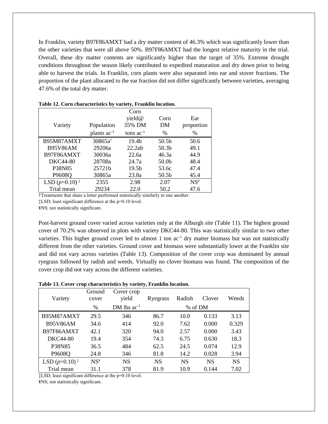In Franklin, variety B97F86AMXT had a dry matter content of 46.3% which was significantly lower than the other varieties that were all above 50%. B97F86AMXT had the longest relative maturity in the trial. Overall, these dry matter contents are significantly higher than the target of 35%. Extreme drought conditions throughout the season likely contributed to expedited maturation and dry down prior to being able to harvest the trials. In Franklin, corn plants were also separated into ear and stover fractions. The proportion of the plant allocated to the ear fraction did not differ significantly between varieties, averaging 47.6% of the total dry matter.

|                                                 |                    | Corn              |                   |                 |  |
|-------------------------------------------------|--------------------|-------------------|-------------------|-----------------|--|
|                                                 |                    | yield@            | Corn              | Ear             |  |
| Variety                                         | Population         | 35% DM            | DM                | proportion      |  |
|                                                 | plants $ac^{-1}$   | tons $ac^{-1}$    | $\%$              | $\%$            |  |
| B95M87AMXT                                      | $30865a^{\dagger}$ | 19.4 <sub>b</sub> | 50.5 <sub>b</sub> | 50.6            |  |
| <b>B95V86AM</b>                                 | 29206a             | 22.2ab            | 50.3 <sub>b</sub> | 49.1            |  |
| B97F86AMXT                                      | 30036a             | 22.6a             | 46.3a             | 44.9            |  |
| <b>DKC44-80</b>                                 | 28708a             | 24.7a             | 50.0 <sub>b</sub> | 48.4            |  |
| P38N85                                          | 25721b             | 19.5b             | 53.6c             | 47.4            |  |
| P9608Q                                          | 30865a             | 23.8a             | 50.5 <sub>b</sub> | 45.4            |  |
| LSD $(p=0.10)$ <sup><math>\ddagger</math></sup> | 2355               | 2.98              | 2.07              | NS <sup>4</sup> |  |
| Trial mean                                      | 29234              | 22.0              | 50.2              | 47.6            |  |

| Table 12. Corn characteristics by variety, Franklin location. |  |  |
|---------------------------------------------------------------|--|--|
|---------------------------------------------------------------|--|--|

†Treatments that share a letter performed statistically similarly to one another.

‡LSD; least significant difference at the p=0.10 level.

¥NS; not statistically significant.

Post-harvest ground cover varied across varieties only at the Alburgh site (Table 11). The highest ground cover of 70.2% was observed in plots with variety DKC44-80. This was statistically similar to two other varieties. This higher ground cover led to almost 1 ton  $ac^{-1}$  dry matter biomass but was not statistically different from the other varieties. Ground cover and biomass were substantially lower at the Franklin site and did not vary across varieties (Table 13). Composition of the cover crop was dominated by annual ryegrass followed by radish and weeds. Virtually no clover biomass was found. The composition of the cover crop did not vary across the different varieties.

#### **Table 13. Cover crop characteristics by variety, Franklin location.**

| Variety                     | Ground<br>cover | Cover crop<br>yield | Ryegrass  | Radish    | Clover    | Weeds     |  |
|-----------------------------|-----------------|---------------------|-----------|-----------|-----------|-----------|--|
|                             | $\%$            | DM lbs $ac^{-1}$    |           | % of DM   |           |           |  |
| B95M87AMXT                  | 29.5            | 346                 | 86.7      | 10.0      | 0.133     | 3.13      |  |
| <b>B95V86AM</b>             | 34.6            | 414                 | 92.0      | 7.62      | 0.000     | 0.329     |  |
| B97F86AMXT                  | 42.1            | 320                 | 94.0      | 2.57      | 0.000     | 3.43      |  |
| <b>DKC44-80</b>             | 19.4            | 354                 | 74.3      | 6.75      | 0.630     | 18.3      |  |
| P38N85                      | 36.5            | 484                 | 62.5      | 24.5      | 0.074     | 12.9      |  |
| P9608Q                      | 24.8            | 346                 | 81.8      | 14.2      | 0.028     | 3.94      |  |
| LSD $(p=0.10)$ <sup>:</sup> | $NS^y$          | <b>NS</b>           | <b>NS</b> | <b>NS</b> | <b>NS</b> | <b>NS</b> |  |
| Trial mean                  | 31.1            | 378                 | 81.9      | 10.9      | 0.144     | 7.02      |  |

‡LSD; least significant difference at the p=0.10 level.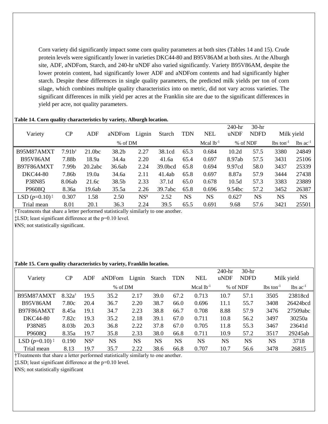Corn variety did significantly impact some corn quality parameters at both sites (Tables 14 and 15). Crude protein levels were significantly lower in varieties DKC44-80 and B95V86AM at both sites. At the Alburgh site, ADF, aNDFom, Starch, and 240-hr uNDF also varied significantly. Variety B95V86AM, despite the lower protein content, had significantly lower ADF and aNDFom contents and had significantly higher starch. Despite these differences in single quality parameters, the predicted milk yields per ton of corn silage, which combines multiple quality characteristics into on metric, did not vary across varieties. The significant differences in milk yield per acres at the Franklin site are due to the significant differences in yield per acre, not quality parameters.

| Variety                                         | CP                | ADF                | aNDFom  | Lignin          | Starch  | <b>TDN</b> | <b>NEL</b>  | $240-hr$<br>uNDF   | $30-hr$<br><b>NDFD</b> | Milk yield              |                        |
|-------------------------------------------------|-------------------|--------------------|---------|-----------------|---------|------------|-------------|--------------------|------------------------|-------------------------|------------------------|
|                                                 |                   |                    | % of DM |                 |         |            | Mcal $lb-1$ | % of NDF           |                        | $lbs$ ton <sup>-1</sup> | $lbs$ ac <sup>-1</sup> |
| B95M87AMXT                                      | $7.91b^{\dagger}$ | 21.0 <sub>bc</sub> | 38.2b   | 2.27            | 38.1cd  | 65.3       | 0.684       | 10.2d              | 57.5                   | 3380                    | 24849                  |
| <b>B95V86AM</b>                                 | 7.88b             | 18.9a              | 34.4a   | 2.20            | 41.6a   | 65.4       | 0.697       | 8.97ab             | 57.5                   | 3431                    | 25106                  |
| B97F86AMXT                                      | 7.99b             | 20.2abc            | 36.6ab  | 2.24            | 39.0bcd | 65.8       | 0.694       | 9.97cd             | 58.0                   | 3437                    | 25339                  |
| <b>DKC44-80</b>                                 | 7.86b             | 19.0a              | 34.6a   | 2.11            | 41.4ab  | 65.8       | 0.697       | 8.87a              | 57.9                   | 3444                    | 27438                  |
| P38N85                                          | 8.06ab            | 21.6c              | 38.5b   | 2.33            | 37.1d   | 65.0       | 0.678       | 10.5d              | 57.3                   | 3383                    | 23889                  |
| P9608Q                                          | 8.36a             | 19.6ab             | 35.5a   | 2.26            | 39.7abc | 65.8       | 0.696       | 9.54 <sub>bc</sub> | 57.2                   | 3452                    | 26387                  |
| LSD $(p=0.10)$ <sup><math>\ddagger</math></sup> | 0.307             | 1.58               | 2.50    | NS <sup>Y</sup> | 2.52    | <b>NS</b>  | <b>NS</b>   | 0.627              | <b>NS</b>              | <b>NS</b>               | <b>NS</b>              |
| Trial mean                                      | 8.01              | 20.1               | 36.3    | 2.24            | 39.5    | 65.5       | 0.691       | 9.68               | 57.6                   | 3421                    | 25501                  |

#### **Table 14. Corn quality characteristics by variety, Alburgh location.**

†Treatments that share a letter performed statistically similarly to one another.

‡LSD; least significant difference at the p=0.10 level.

¥NS; not statistically significant.

#### **Table 15. Corn quality characteristics by variety, Franklin location.**

| Variety                                         | $\rm CP$          | ADF                                            | aNDFom    | Lignin    | Starch    | <b>TDN</b> | <b>NEL</b>     | 240-hr<br>uNDF | $30-hr$<br><b>NDFD</b> |                         | Milk yield             |
|-------------------------------------------------|-------------------|------------------------------------------------|-----------|-----------|-----------|------------|----------------|----------------|------------------------|-------------------------|------------------------|
|                                                 |                   |                                                | % of DM   |           |           |            | Mcal $lb^{-1}$ |                | % of NDF               | $lbs$ ton <sup>-1</sup> | $lbs$ ac <sup>-1</sup> |
| B95M87AMXT                                      | $8.32a^{\dagger}$ | 19.5                                           | 35.2      | 2.17      | 39.0      | 67.2       | 0.713          | 10.7           | 57.1                   | 3505                    | 23818cd                |
| <b>B95V86AM</b>                                 | 7.80c             | 20.4                                           | 36.7      | 2.20      | 38.7      | 66.0       | 0.696          | 11.1           | 55.7                   | 3408                    | 26424bcd               |
| B97F86AMXT                                      | 8.45a             | 19.1                                           | 34.7      | 2.23      | 38.8      | 66.7       | 0.708          | 8.88           | 57.9                   | 3476                    | 27509abc               |
| <b>DKC44-80</b>                                 | 7.82c             | 19.3                                           | 35.2      | 2.18      | 39.1      | 67.0       | 0.711          | 10.8           | 56.2                   | 3497                    | 30250a                 |
| P38N85                                          | 8.03b             | 20.3                                           | 36.8      | 2.22      | 37.8      | 67.0       | 0.705          | 11.8           | 55.3                   | 3467                    | 23641d                 |
| P9608Q                                          | 8.35a             | 19.7                                           | 35.8      | 2.33      | 38.0      | 66.8       | 0.711          | 10.9           | 57.2                   | 3517                    | 29245ab                |
| LSD $(p=0.10)$ <sup><math>\ddagger</math></sup> | 0.190             | $\mathrm{NS}^{\scriptscriptstyle{\mathrm{Y}}}$ | <b>NS</b> | <b>NS</b> | <b>NS</b> | <b>NS</b>  | <b>NS</b>      | <b>NS</b>      | <b>NS</b>              | <b>NS</b>               | 3718                   |
| Trial mean                                      | 8.13              | 19.7                                           | 35.7      | 2.22      | 38.6      | 66.8       | 0.707          | 10.7           | 56.6                   | 3478                    | 26815                  |

†Treatments that share a letter performed statistically similarly to one another.

‡LSD; least significant difference at the p=0.10 level.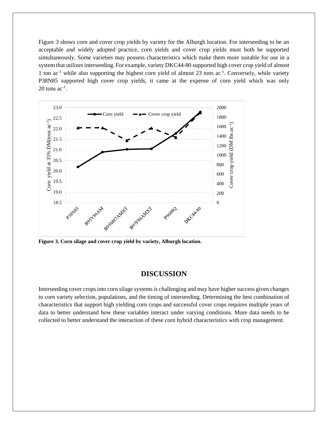Figure 3 shows corn and cover crop yields by variety for the Alburgh location. For interseeding to be an acceptable and widely adopted practice, corn yields and cover crop yields must both be supported simultaneously. Some varieties may possess characteristics which make them more suitable for use in a system that utilizes interseeding. For example, variety DKC44-80 supported high cover crop yield of almost 1 ton ac<sup>-1</sup> while also supporting the highest corn yield of almost 23 tons ac<sup>-1</sup>. Conversely, while variety P38N85 supported high cover crop yields, it came at the expense of corn yield which was only  $20$  tons ac<sup>-1</sup>.



**Figure 3. Corn silage and cover crop yield by variety, Alburgh location.**

# **DISCUSSION**

Interseeding cover crops into corn silage systems is challenging and may have higher success given changes to corn variety selection, populations, and the timing of interseeding. Determining the best combination of characteristics that support high yielding corn crops and successful cover crops requires multiple years of data to better understand how these variables interact under varying conditions. More data needs to be collected to better understand the interaction of these corn hybrid characteristics with crop management.